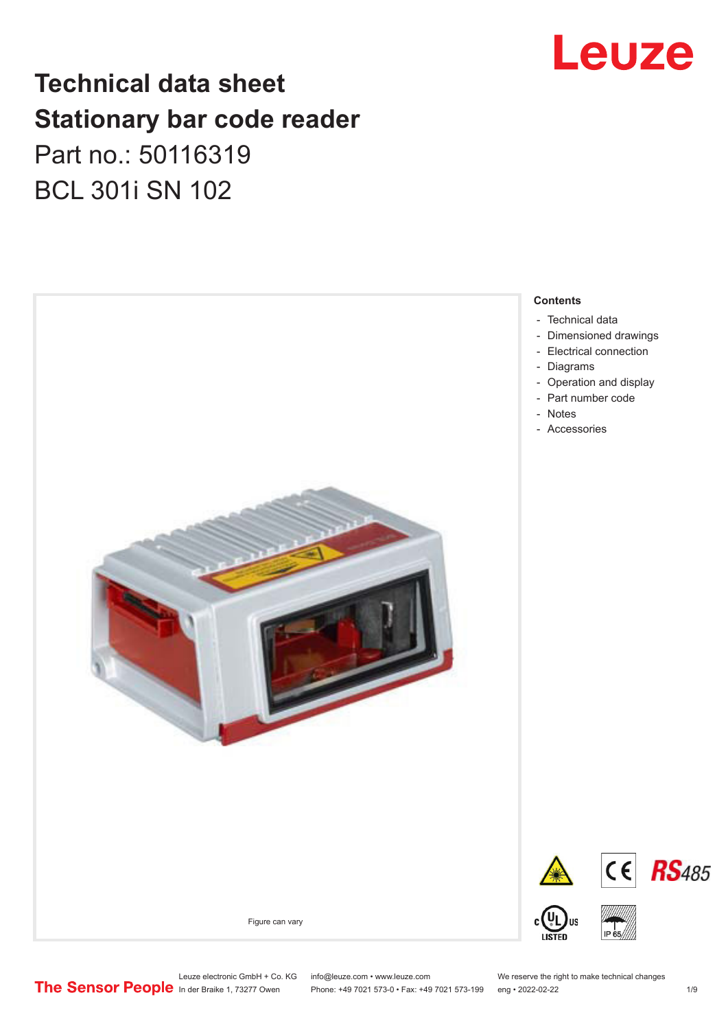

## **Technical data sheet Stationary bar code reader** Part no.: 50116319 BCL 301i SN 102



Leuze electronic GmbH + Co. KG info@leuze.com • www.leuze.com We reserve the right to make technical changes<br>
The Sensor People in der Braike 1, 73277 Owen Phone: +49 7021 573-0 • Fax: +49 7021 573-199 eng • 2022-02-22

Phone: +49 7021 573-0 • Fax: +49 7021 573-199 eng • 2022-02-22 1 /9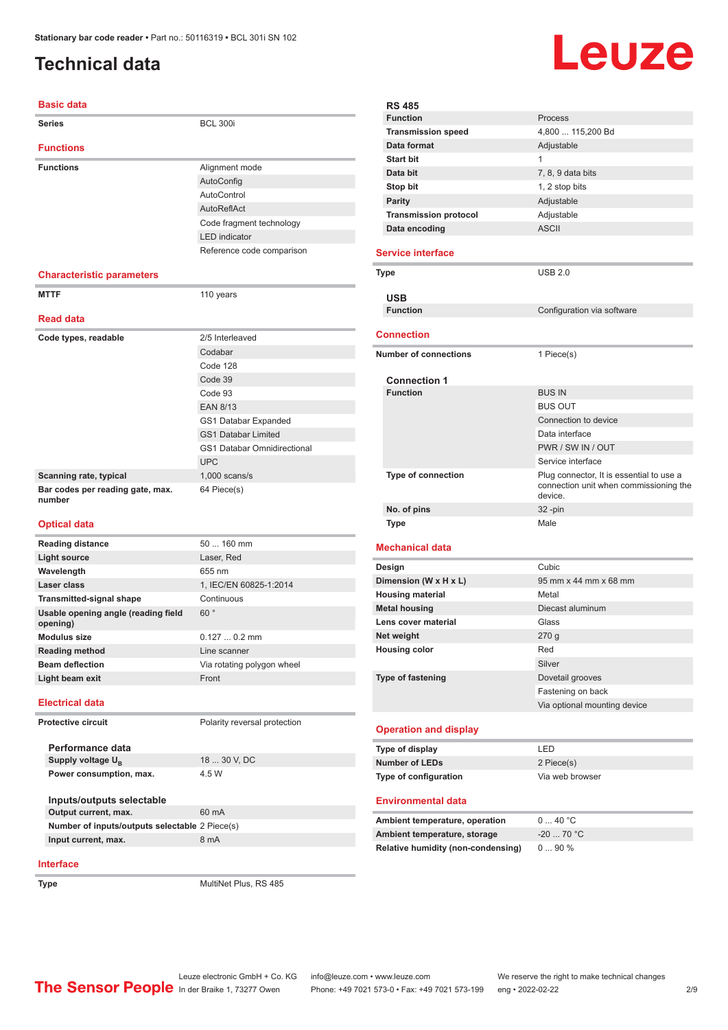### <span id="page-1-0"></span>**Technical data**

#### **Basic data**

| <b>Series</b>                              | <b>BCL 300i</b>                    |
|--------------------------------------------|------------------------------------|
| <b>Functions</b>                           |                                    |
| <b>Functions</b>                           | Alignment mode                     |
|                                            | AutoConfig                         |
|                                            | AutoControl                        |
|                                            | AutoReflAct                        |
|                                            | Code fragment technology           |
|                                            | <b>LED</b> indicator               |
|                                            | Reference code comparison          |
|                                            |                                    |
| <b>Characteristic parameters</b>           |                                    |
| <b>MTTF</b>                                | 110 years                          |
|                                            |                                    |
| <b>Read data</b>                           |                                    |
| Code types, readable                       | 2/5 Interleaved                    |
|                                            | Codabar                            |
|                                            | Code 128                           |
|                                            | Code 39                            |
|                                            | Code 93                            |
|                                            | <b>EAN 8/13</b>                    |
|                                            | GS1 Databar Expanded               |
|                                            | <b>GS1 Databar Limited</b>         |
|                                            | <b>GS1 Databar Omnidirectional</b> |
|                                            | <b>UPC</b>                         |
| Scanning rate, typical                     | $1,000$ scans/s                    |
| Bar codes per reading gate, max.<br>number | 64 Piece(s)                        |
|                                            |                                    |

#### **Optical data**

| <b>Reading distance</b>                         | $50160$ mm                   |
|-------------------------------------------------|------------------------------|
| <b>Light source</b>                             | Laser, Red                   |
| Wavelength                                      | 655 nm                       |
| Laser class                                     | 1. IEC/EN 60825-1:2014       |
| <b>Transmitted-signal shape</b>                 | Continuous                   |
| Usable opening angle (reading field<br>opening) | 60°                          |
| Modulus size                                    | $0.1270.2$ mm                |
| <b>Reading method</b>                           | Line scanner                 |
| <b>Beam deflection</b>                          | Via rotating polygon wheel   |
| Light beam exit                                 | Front                        |
| <b>Electrical data</b>                          |                              |
| Protective circuit                              | Polarity reversal protection |
| Performance data                                |                              |
| Supply voltage U <sub>B</sub>                   | 18  30 V, DC                 |
| Power consumption, max.                         | 4.5 W                        |
| Inputs/outputs selectable                       |                              |
| Output current, max.                            | 60 mA                        |
| Number of inputs/outputs selectable 2 Piece(s)  |                              |

#### **RS 485 Process Transmission speed** 4,800 ... 115,200 Bd **Data format** Adjustable **Start bit** 1 **Data bit** 7, 8, 9 data bits **Stop bit** 1, 2 stop bits **Parity** Adjustable **Transmission protocol** Adjustable **Data encoding** ASCII **Service interface Type** USB 2.0 **USB Configuration** via software **Connection Number of connections** 1 Piece(s) **Connection 1 Function** BUS IN BUS OUT Connection to device Data interface PWR / SW IN / OUT Service interface **Type of connection** Plug connector, It is essential to use a connection unit when commissioning the device. **No. of pins** 32 -pin **Type** Male **Mechanical data Design Cubic Dimension (W x H x L)** 95 mm x 44 mm x 68 mm **Housing material Metal Metal housing** Diecast aluminum **Lens cover material Class Net weight** 270 g **Housing color** Red Silver **Type of fastening** Dovetail grooves Fastening on back Via optional mounting device **Operation and display**

| Type of display       | I FD            |
|-----------------------|-----------------|
| Number of LEDs        | 2 Piece(s)      |
| Type of configuration | Via web browser |

#### **Environmental data**

| Ambient temperature, operation     | 040 °C      |
|------------------------------------|-------------|
| Ambient temperature, storage       | $-20$ 70 °C |
| Relative humidity (non-condensing) | $090\%$     |

## **Interface**

**Type** MultiNet Plus, RS 485

**Input current, max.** 8 mA

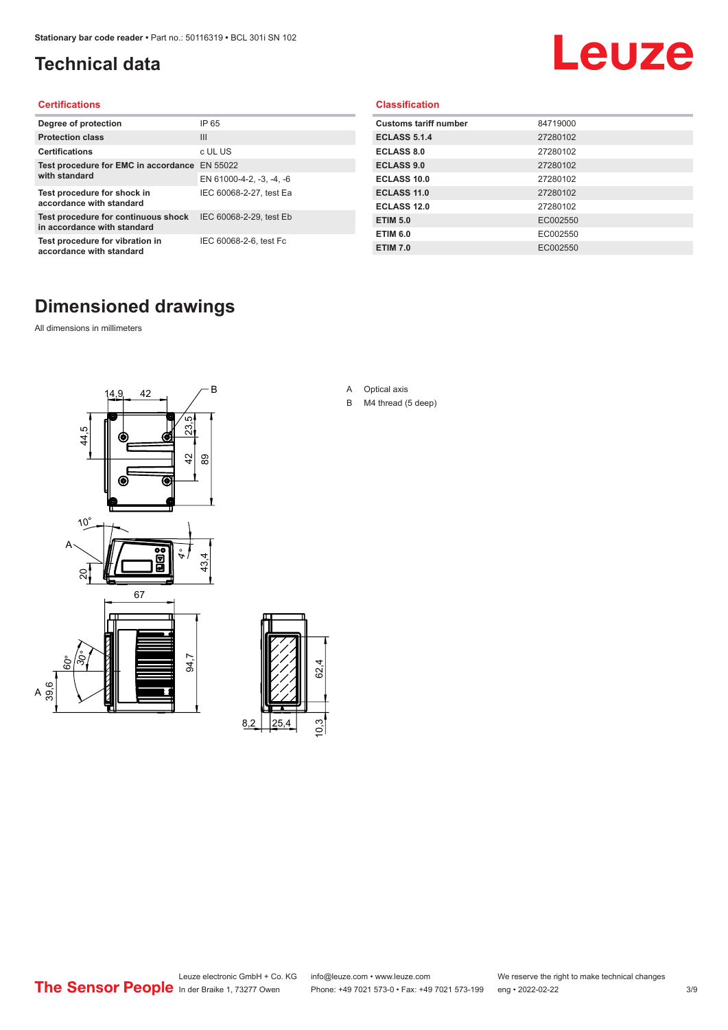### <span id="page-2-0"></span>**Technical data**

# Leuze

#### **Certifications**

| Degree of protection                                               | IP 65                    |
|--------------------------------------------------------------------|--------------------------|
| <b>Protection class</b>                                            | Ш                        |
| <b>Certifications</b>                                              | c UL US                  |
| Test procedure for EMC in accordance<br>with standard              | EN 55022                 |
|                                                                    | EN 61000-4-2, -3, -4, -6 |
| Test procedure for shock in<br>accordance with standard            | IEC 60068-2-27, test Ea  |
| Test procedure for continuous shock<br>in accordance with standard | IEC 60068-2-29, test Eb  |
| Test procedure for vibration in<br>accordance with standard        | IEC 60068-2-6, test Fc   |

#### **Classification**

| <b>Customs tariff number</b> | 84719000 |
|------------------------------|----------|
| <b>ECLASS 5.1.4</b>          | 27280102 |
| <b>ECLASS 8.0</b>            | 27280102 |
| <b>ECLASS 9.0</b>            | 27280102 |
| ECLASS 10.0                  | 27280102 |
| <b>ECLASS 11.0</b>           | 27280102 |
| ECLASS 12.0                  | 27280102 |
| <b>ETIM 5.0</b>              | EC002550 |
| <b>ETIM 6.0</b>              | EC002550 |
| <b>ETIM 7.0</b>              | EC002550 |

#### **Dimensioned drawings**

All dimensions in millimeters

 $\overline{A}$ 





- A Optical axis
- B M4 thread (5 deep)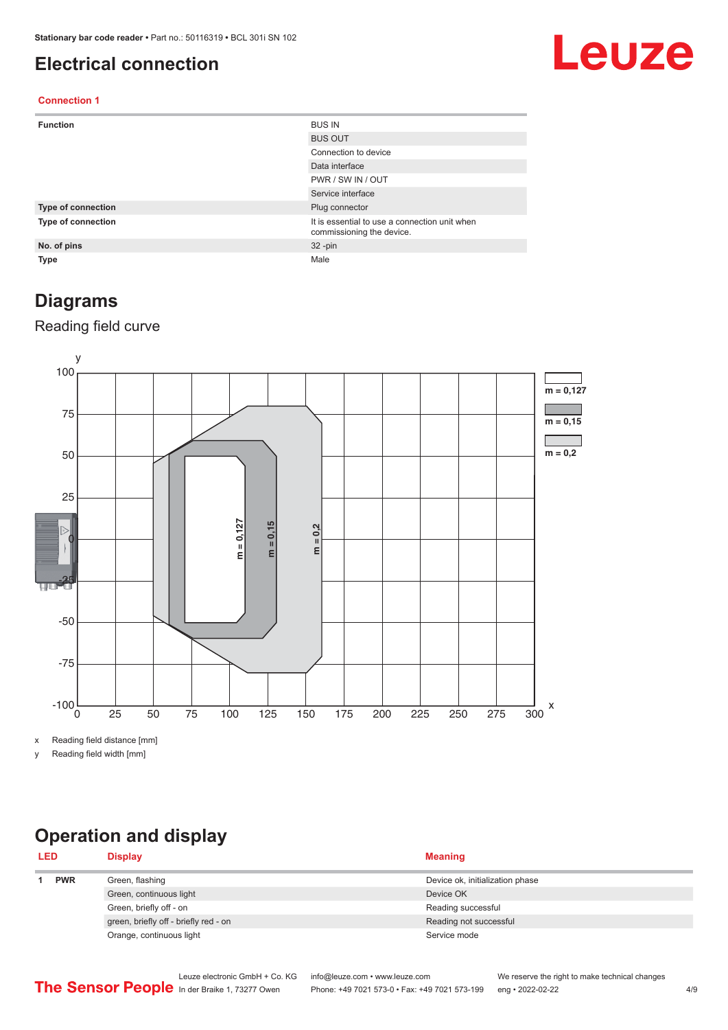#### <span id="page-3-0"></span>**Electrical connection**

## Leuze

#### **Connection 1**

| <b>Function</b>    | <b>BUS IN</b>                                                              |
|--------------------|----------------------------------------------------------------------------|
|                    | <b>BUS OUT</b>                                                             |
|                    | Connection to device                                                       |
|                    | Data interface                                                             |
|                    | PWR / SW IN / OUT                                                          |
|                    | Service interface                                                          |
| Type of connection | Plug connector                                                             |
| Type of connection | It is essential to use a connection unit when<br>commissioning the device. |
| No. of pins        | $32 - pin$                                                                 |
| Type               | Male                                                                       |

#### **Diagrams**

#### Reading field curve



x Reading field distance [mm]

y Reading field width [mm]

## **Operation and display**

| <b>LED</b> |            | <b>Display</b>                        | <b>Meaning</b>                  |
|------------|------------|---------------------------------------|---------------------------------|
|            | <b>PWR</b> | Green, flashing                       | Device ok, initialization phase |
|            |            | Green, continuous light               | Device OK                       |
|            |            | Green, briefly off - on               | Reading successful              |
|            |            | green, briefly off - briefly red - on | Reading not successful          |
|            |            | Orange, continuous light              | Service mode                    |
|            |            |                                       |                                 |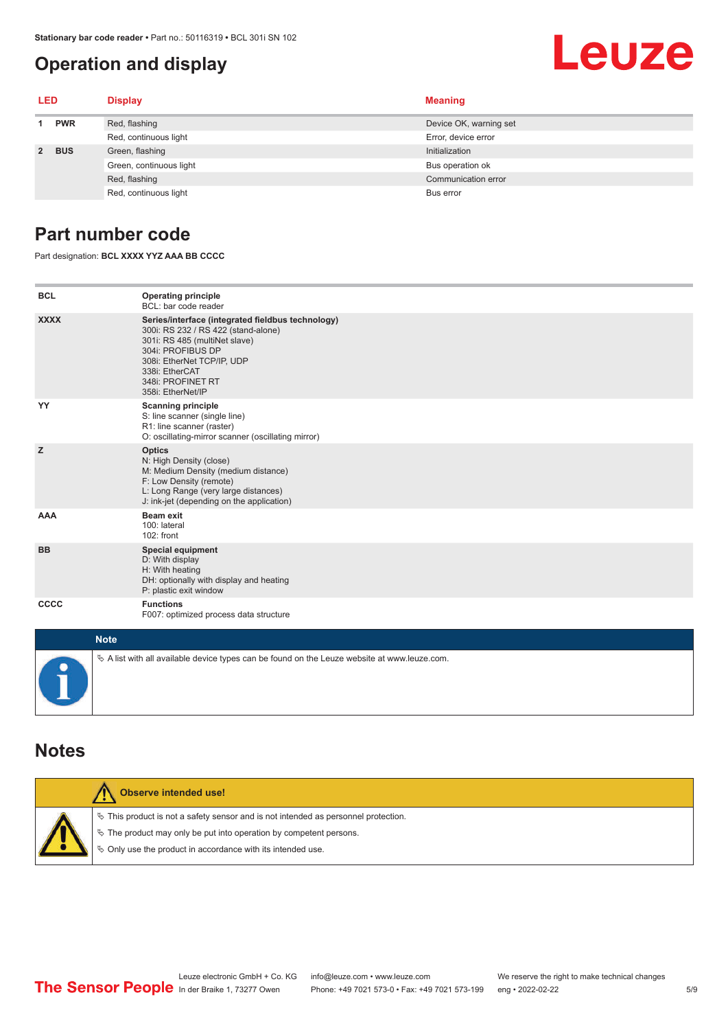#### <span id="page-4-0"></span>**Operation and display**

## Leuze

| LED         |            | <b>Display</b>          | <b>Meaning</b>         |
|-------------|------------|-------------------------|------------------------|
|             | <b>PWR</b> | Red, flashing           | Device OK, warning set |
|             |            | Red, continuous light   | Error, device error    |
| $2^{\circ}$ | <b>BUS</b> | Green, flashing         | Initialization         |
|             |            | Green, continuous light | Bus operation ok       |
|             |            | Red, flashing           | Communication error    |
|             |            | Red, continuous light   | Bus error              |

#### **Part number code**

Part designation: **BCL XXXX YYZ AAA BB CCCC**

| <b>BCL</b>                                          | <b>Operating principle</b><br>BCL: bar code reader                                                                                                                                                                                       |
|-----------------------------------------------------|------------------------------------------------------------------------------------------------------------------------------------------------------------------------------------------------------------------------------------------|
| <b>XXXX</b>                                         | Series/interface (integrated fieldbus technology)<br>300i: RS 232 / RS 422 (stand-alone)<br>301i: RS 485 (multiNet slave)<br>304i: PROFIBUS DP<br>308i: EtherNet TCP/IP, UDP<br>338i: EtherCAT<br>348i: PROFINET RT<br>358i: EtherNet/IP |
| YY                                                  | <b>Scanning principle</b><br>S: line scanner (single line)<br>R1: line scanner (raster)<br>O: oscillating-mirror scanner (oscillating mirror)                                                                                            |
| z                                                   | <b>Optics</b><br>N: High Density (close)<br>M: Medium Density (medium distance)<br>F: Low Density (remote)<br>L: Long Range (very large distances)<br>J: ink-jet (depending on the application)                                          |
| <b>AAA</b>                                          | <b>Beam exit</b><br>100: lateral<br>102: front                                                                                                                                                                                           |
| <b>BB</b>                                           | <b>Special equipment</b><br>D: With display<br>H: With heating<br>DH: optionally with display and heating<br>P: plastic exit window                                                                                                      |
| <b>CCCC</b>                                         | <b>Functions</b><br>F007: optimized process data structure                                                                                                                                                                               |
| $\mathbf{A}$ $\mathbf{B}$ $\mathbf{A}$ $\mathbf{A}$ |                                                                                                                                                                                                                                          |

| <b>Note</b>                                                                                  |
|----------------------------------------------------------------------------------------------|
| ∜ A list with all available device types can be found on the Leuze website at www.leuze.com. |

#### **Notes**

| Observe intended use!                                                                                                                                                                                                      |
|----------------------------------------------------------------------------------------------------------------------------------------------------------------------------------------------------------------------------|
| $\%$ This product is not a safety sensor and is not intended as personnel protection.<br>§ The product may only be put into operation by competent persons.<br>♦ Only use the product in accordance with its intended use. |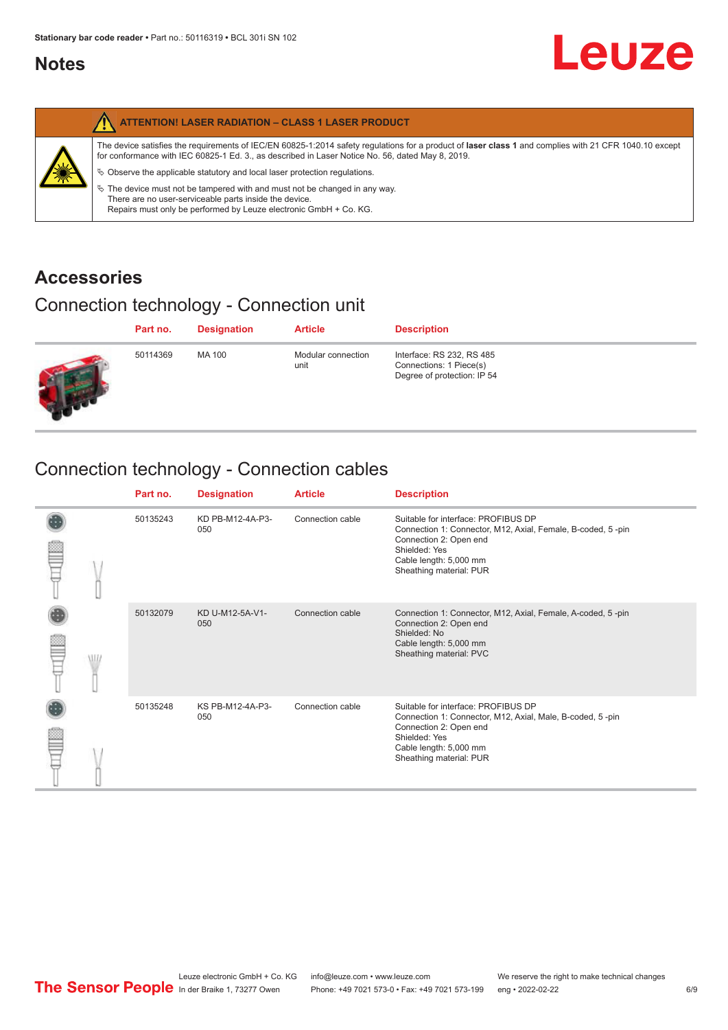#### <span id="page-5-0"></span>**Notes**

|   | <b>ATTENTION! LASER RADIATION - CLASS 1 LASER PRODUCT</b>                                                                                                                                                                                                                                                                                                                                                                                                                                                                                                   |
|---|-------------------------------------------------------------------------------------------------------------------------------------------------------------------------------------------------------------------------------------------------------------------------------------------------------------------------------------------------------------------------------------------------------------------------------------------------------------------------------------------------------------------------------------------------------------|
| 纂 | The device satisfies the requirements of IEC/EN 60825-1:2014 safety requlations for a product of laser class 1 and complies with 21 CFR 1040.10 except<br>for conformance with IEC 60825-1 Ed. 3., as described in Laser Notice No. 56, dated May 8, 2019.<br>$\&$ Observe the applicable statutory and local laser protection regulations.<br>$\%$ The device must not be tampered with and must not be changed in any way.<br>There are no user-serviceable parts inside the device.<br>Repairs must only be performed by Leuze electronic GmbH + Co. KG. |

#### **Accessories**

### Connection technology - Connection unit

| Part no. | <b>Designation</b> | <b>Article</b>             | <b>Description</b>                                                                  |
|----------|--------------------|----------------------------|-------------------------------------------------------------------------------------|
| 50114369 | MA 100             | Modular connection<br>unit | Interface: RS 232, RS 485<br>Connections: 1 Piece(s)<br>Degree of protection: IP 54 |

### Connection technology - Connection cables

|   | Part no. | <b>Designation</b>      | <b>Article</b>   | <b>Description</b>                                                                                                                                                                                 |
|---|----------|-------------------------|------------------|----------------------------------------------------------------------------------------------------------------------------------------------------------------------------------------------------|
|   | 50135243 | KD PB-M12-4A-P3-<br>050 | Connection cable | Suitable for interface: PROFIBUS DP<br>Connection 1: Connector, M12, Axial, Female, B-coded, 5-pin<br>Connection 2: Open end<br>Shielded: Yes<br>Cable length: 5,000 mm<br>Sheathing material: PUR |
| W | 50132079 | KD U-M12-5A-V1-<br>050  | Connection cable | Connection 1: Connector, M12, Axial, Female, A-coded, 5-pin<br>Connection 2: Open end<br>Shielded: No<br>Cable length: 5,000 mm<br>Sheathing material: PVC                                         |
|   | 50135248 | KS PB-M12-4A-P3-<br>050 | Connection cable | Suitable for interface: PROFIBUS DP<br>Connection 1: Connector, M12, Axial, Male, B-coded, 5-pin<br>Connection 2: Open end<br>Shielded: Yes<br>Cable length: 5,000 mm<br>Sheathing material: PUR   |

**Leuze**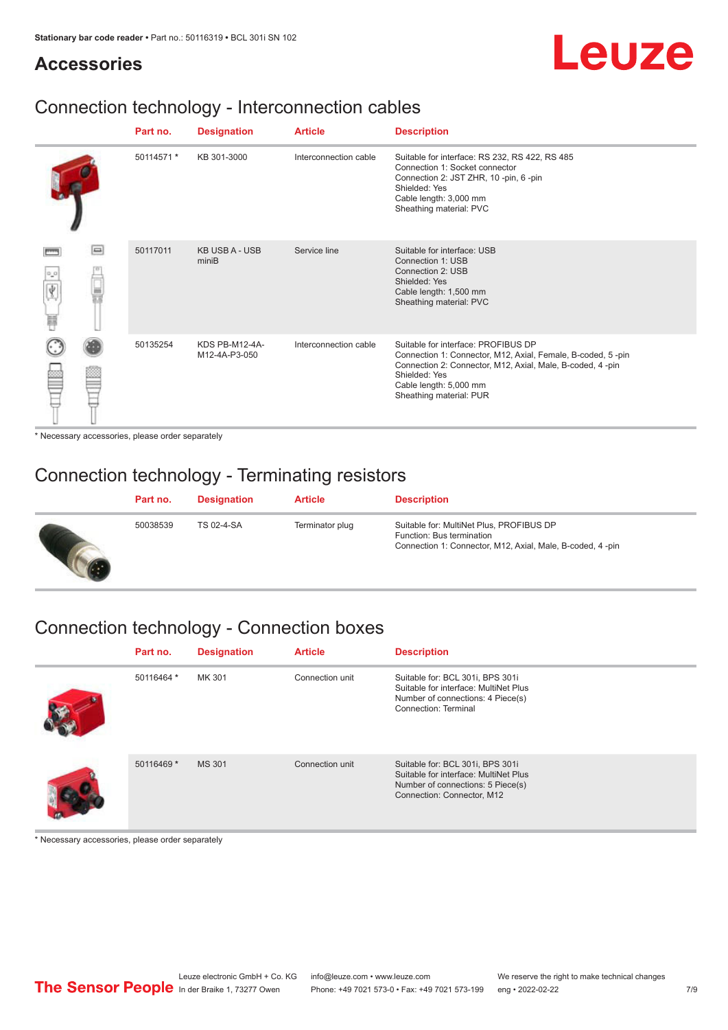#### **Accessories**

## Leuze

### Connection technology - Interconnection cables

|               |        | Part no.   | <b>Designation</b>              | <b>Article</b>        | <b>Description</b>                                                                                                                                                                                                                    |
|---------------|--------|------------|---------------------------------|-----------------------|---------------------------------------------------------------------------------------------------------------------------------------------------------------------------------------------------------------------------------------|
|               |        | 50114571 * | KB 301-3000                     | Interconnection cable | Suitable for interface: RS 232, RS 422, RS 485<br>Connection 1: Socket connector<br>Connection 2: JST ZHR, 10 -pin, 6 -pin<br>Shielded: Yes<br>Cable length: 3,000 mm<br>Sheathing material: PVC                                      |
| 0,0<br>Ý<br>Ħ | $\Box$ | 50117011   | <b>KB USB A - USB</b><br>miniB  | Service line          | Suitable for interface: USB<br>Connection 1: USB<br>Connection 2: USB<br>Shielded: Yes<br>Cable length: 1,500 mm<br>Sheathing material: PVC                                                                                           |
|               |        | 50135254   | KDS PB-M12-4A-<br>M12-4A-P3-050 | Interconnection cable | Suitable for interface: PROFIBUS DP<br>Connection 1: Connector, M12, Axial, Female, B-coded, 5-pin<br>Connection 2: Connector, M12, Axial, Male, B-coded, 4-pin<br>Shielded: Yes<br>Cable length: 5,000 mm<br>Sheathing material: PUR |

\* Necessary accessories, please order separately

#### Connection technology - Terminating resistors

| Part no. | <b>Designation</b> | <b>Article</b>  | <b>Description</b>                                                                                                                 |
|----------|--------------------|-----------------|------------------------------------------------------------------------------------------------------------------------------------|
| 50038539 | TS 02-4-SA         | Terminator plug | Suitable for: MultiNet Plus, PROFIBUS DP<br>Function: Bus termination<br>Connection 1: Connector, M12, Axial, Male, B-coded, 4-pin |

### Connection technology - Connection boxes

| Part no.   | <b>Designation</b> | <b>Article</b>  | <b>Description</b>                                                                                                                           |
|------------|--------------------|-----------------|----------------------------------------------------------------------------------------------------------------------------------------------|
| 50116464 * | MK 301             | Connection unit | Suitable for: BCL 301i, BPS 301i<br>Suitable for interface: MultiNet Plus<br>Number of connections: 4 Piece(s)<br>Connection: Terminal       |
| 50116469 * | <b>MS 301</b>      | Connection unit | Suitable for: BCL 301i, BPS 301i<br>Suitable for interface: MultiNet Plus<br>Number of connections: 5 Piece(s)<br>Connection: Connector, M12 |

\* Necessary accessories, please order separately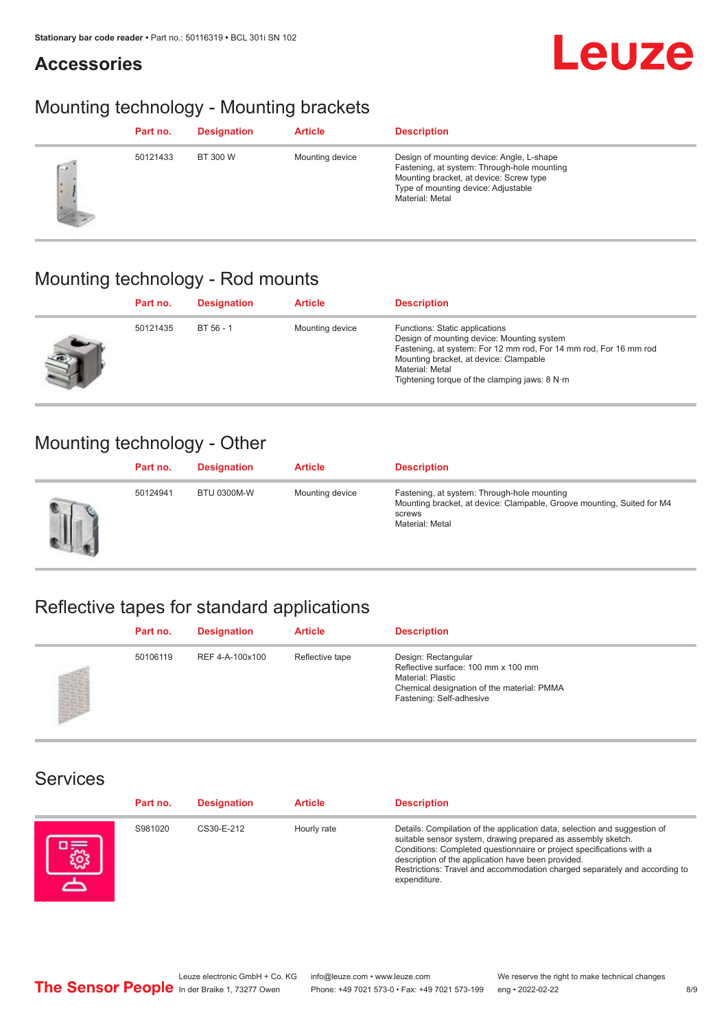#### **Accessories**



#### Mounting technology - Mounting brackets

|     | Part no. | <b>Designation</b> | <b>Article</b>  | <b>Description</b>                                                                                                                                                                            |
|-----|----------|--------------------|-----------------|-----------------------------------------------------------------------------------------------------------------------------------------------------------------------------------------------|
| C.W | 50121433 | BT 300 W           | Mounting device | Design of mounting device: Angle, L-shape<br>Fastening, at system: Through-hole mounting<br>Mounting bracket, at device: Screw type<br>Type of mounting device: Adjustable<br>Material: Metal |

### Mounting technology - Rod mounts

| Part no. | <b>Designation</b> | <b>Article</b>  | <b>Description</b>                                                                                                                                                                                                                                                |
|----------|--------------------|-----------------|-------------------------------------------------------------------------------------------------------------------------------------------------------------------------------------------------------------------------------------------------------------------|
| 50121435 | BT 56 - 1          | Mounting device | Functions: Static applications<br>Design of mounting device: Mounting system<br>Fastening, at system: For 12 mm rod, For 14 mm rod, For 16 mm rod<br>Mounting bracket, at device: Clampable<br>Material: Metal<br>Tightening torque of the clamping jaws: $8 N·m$ |

#### Mounting technology - Other

|   | Part no. | <b>Designation</b> | <b>Article</b>  | <b>Description</b>                                                                                                                                 |
|---|----------|--------------------|-----------------|----------------------------------------------------------------------------------------------------------------------------------------------------|
| Ш | 50124941 | <b>BTU 0300M-W</b> | Mounting device | Fastening, at system: Through-hole mounting<br>Mounting bracket, at device: Clampable, Groove mounting, Suited for M4<br>screws<br>Material: Metal |

### Reflective tapes for standard applications

| Part no. | <b>Designation</b> | <b>Article</b>  | <b>Description</b>                                                                                                                                               |
|----------|--------------------|-----------------|------------------------------------------------------------------------------------------------------------------------------------------------------------------|
| 50106119 | REF 4-A-100x100    | Reflective tape | Design: Rectangular<br>Reflective surface: 100 mm x 100 mm<br><b>Material: Plastic</b><br>Chemical designation of the material: PMMA<br>Fastening: Self-adhesive |

#### Services

| Part no. | <b>Designation</b> | <b>Article</b> | <b>Description</b>                                                                                                                                                                                                                                                                                                                                                    |
|----------|--------------------|----------------|-----------------------------------------------------------------------------------------------------------------------------------------------------------------------------------------------------------------------------------------------------------------------------------------------------------------------------------------------------------------------|
| S981020  | CS30-E-212         | Hourly rate    | Details: Compilation of the application data, selection and suggestion of<br>suitable sensor system, drawing prepared as assembly sketch.<br>Conditions: Completed questionnaire or project specifications with a<br>description of the application have been provided.<br>Restrictions: Travel and accommodation charged separately and according to<br>expenditure. |